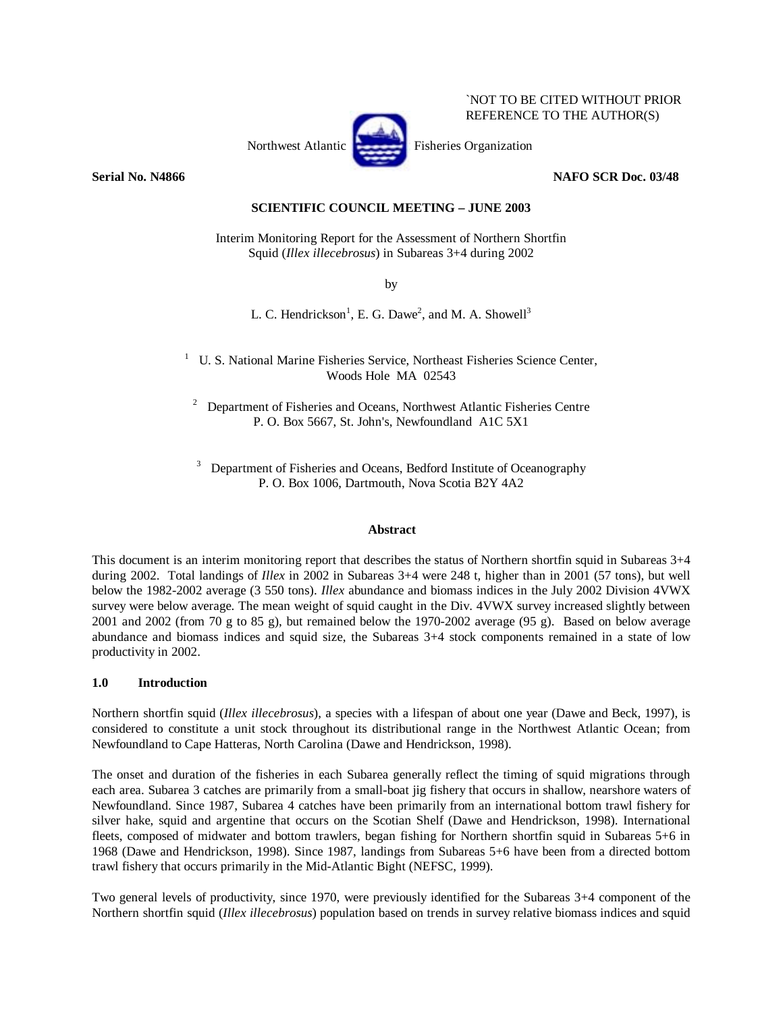

**Serial No. N4866** NAFO SCR Doc. 03/48

`NOT TO BE CITED WITHOUT PRIOR REFERENCE TO THE AUTHOR(S)

# **SCIENTIFIC COUNCIL MEETING – JUNE 2003**

Interim Monitoring Report for the Assessment of Northern Shortfin Squid (*Illex illecebrosus*) in Subareas 3+4 during 2002

by

L. C. Hendrickson<sup>1</sup>, E. G. Dawe<sup>2</sup>, and M. A. Showell<sup>3</sup>

<sup>1</sup> U. S. National Marine Fisheries Service, Northeast Fisheries Science Center, Woods Hole MA 02543

 $2$  Department of Fisheries and Oceans, Northwest Atlantic Fisheries Centre P. O. Box 5667, St. John's, Newfoundland A1C 5X1

3 Department of Fisheries and Oceans, Bedford Institute of Oceanography P. O. Box 1006, Dartmouth, Nova Scotia B2Y 4A2

### **Abstract**

This document is an interim monitoring report that describes the status of Northern shortfin squid in Subareas 3+4 during 2002. Total landings of *Illex* in 2002 in Subareas 3+4 were 248 t, higher than in 2001 (57 tons), but well below the 1982-2002 average (3 550 tons). *Illex* abundance and biomass indices in the July 2002 Division 4VWX survey were below average. The mean weight of squid caught in the Div. 4VWX survey increased slightly between 2001 and 2002 (from 70 g to 85 g), but remained below the 1970-2002 average (95 g). Based on below average abundance and biomass indices and squid size, the Subareas 3+4 stock components remained in a state of low productivity in 2002.

### **1.0 Introduction**

Northern shortfin squid (*Illex illecebrosus*), a species with a lifespan of about one year (Dawe and Beck, 1997), is considered to constitute a unit stock throughout its distributional range in the Northwest Atlantic Ocean; from Newfoundland to Cape Hatteras, North Carolina (Dawe and Hendrickson, 1998).

The onset and duration of the fisheries in each Subarea generally reflect the timing of squid migrations through each area. Subarea 3 catches are primarily from a small-boat jig fishery that occurs in shallow, nearshore waters of Newfoundland. Since 1987, Subarea 4 catches have been primarily from an international bottom trawl fishery for silver hake, squid and argentine that occurs on the Scotian Shelf (Dawe and Hendrickson, 1998). International fleets, composed of midwater and bottom trawlers, began fishing for Northern shortfin squid in Subareas 5+6 in 1968 (Dawe and Hendrickson, 1998). Since 1987, landings from Subareas 5+6 have been from a directed bottom trawl fishery that occurs primarily in the Mid-Atlantic Bight (NEFSC, 1999).

Two general levels of productivity, since 1970, were previously identified for the Subareas 3+4 component of the Northern shortfin squid (*Illex illecebrosus*) population based on trends in survey relative biomass indices and squid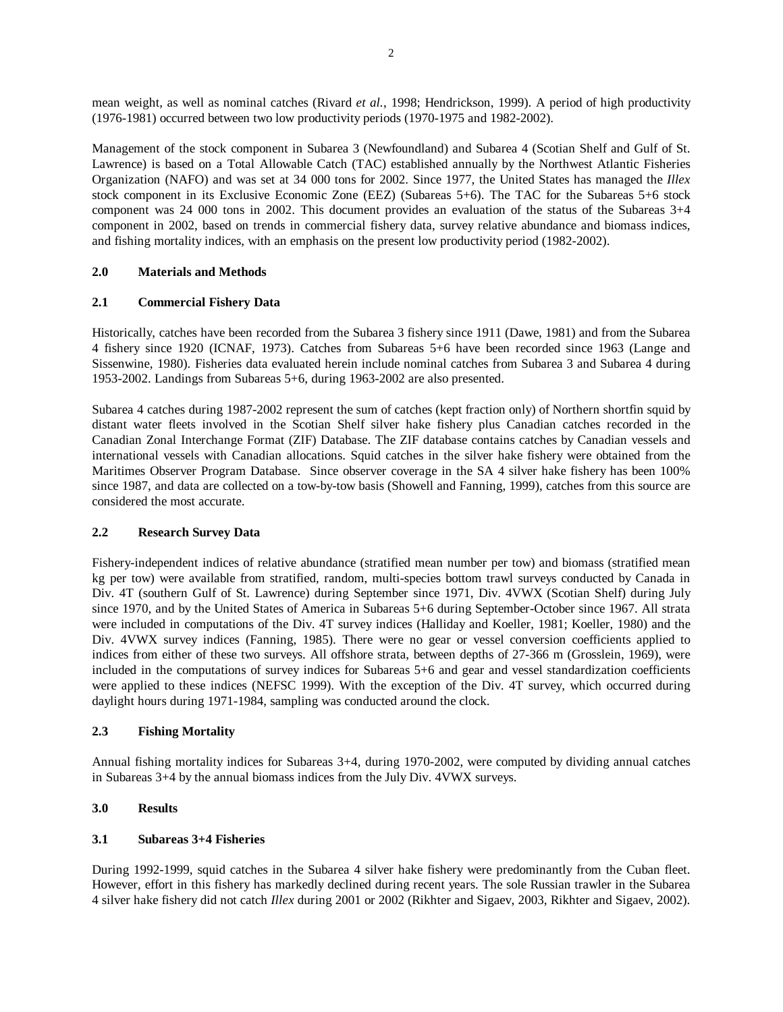mean weight, as well as nominal catches (Rivard *et al.*, 1998; Hendrickson, 1999). A period of high productivity (1976-1981) occurred between two low productivity periods (1970-1975 and 1982-2002).

Management of the stock component in Subarea 3 (Newfoundland) and Subarea 4 (Scotian Shelf and Gulf of St. Lawrence) is based on a Total Allowable Catch (TAC) established annually by the Northwest Atlantic Fisheries Organization (NAFO) and was set at 34 000 tons for 2002. Since 1977, the United States has managed the *Illex* stock component in its Exclusive Economic Zone (EEZ) (Subareas 5+6). The TAC for the Subareas 5+6 stock component was 24 000 tons in 2002. This document provides an evaluation of the status of the Subareas 3+4 component in 2002, based on trends in commercial fishery data, survey relative abundance and biomass indices, and fishing mortality indices, with an emphasis on the present low productivity period (1982-2002).

#### **2.0 Materials and Methods**

#### **2.1 Commercial Fishery Data**

Historically, catches have been recorded from the Subarea 3 fishery since 1911 (Dawe, 1981) and from the Subarea 4 fishery since 1920 (ICNAF, 1973). Catches from Subareas 5+6 have been recorded since 1963 (Lange and Sissenwine, 1980). Fisheries data evaluated herein include nominal catches from Subarea 3 and Subarea 4 during 1953-2002. Landings from Subareas 5+6, during 1963-2002 are also presented.

Subarea 4 catches during 1987-2002 represent the sum of catches (kept fraction only) of Northern shortfin squid by distant water fleets involved in the Scotian Shelf silver hake fishery plus Canadian catches recorded in the Canadian Zonal Interchange Format (ZIF) Database. The ZIF database contains catches by Canadian vessels and international vessels with Canadian allocations. Squid catches in the silver hake fishery were obtained from the Maritimes Observer Program Database. Since observer coverage in the SA 4 silver hake fishery has been 100% since 1987, and data are collected on a tow-by-tow basis (Showell and Fanning, 1999), catches from this source are considered the most accurate.

#### **2.2 Research Survey Data**

Fishery-independent indices of relative abundance (stratified mean number per tow) and biomass (stratified mean kg per tow) were available from stratified, random, multi-species bottom trawl surveys conducted by Canada in Div. 4T (southern Gulf of St. Lawrence) during September since 1971, Div. 4VWX (Scotian Shelf) during July since 1970, and by the United States of America in Subareas 5+6 during September-October since 1967. All strata were included in computations of the Div. 4T survey indices (Halliday and Koeller, 1981; Koeller, 1980) and the Div. 4VWX survey indices (Fanning, 1985). There were no gear or vessel conversion coefficients applied to indices from either of these two surveys. All offshore strata, between depths of 27-366 m (Grosslein, 1969), were included in the computations of survey indices for Subareas 5+6 and gear and vessel standardization coefficients were applied to these indices (NEFSC 1999). With the exception of the Div. 4T survey, which occurred during daylight hours during 1971-1984, sampling was conducted around the clock.

### **2.3 Fishing Mortality**

Annual fishing mortality indices for Subareas 3+4, during 1970-2002, were computed by dividing annual catches in Subareas 3+4 by the annual biomass indices from the July Div. 4VWX surveys.

## **3.0 Results**

#### **3.1 Subareas 3+4 Fisheries**

During 1992-1999, squid catches in the Subarea 4 silver hake fishery were predominantly from the Cuban fleet. However, effort in this fishery has markedly declined during recent years. The sole Russian trawler in the Subarea 4 silver hake fishery did not catch *Illex* during 2001 or 2002 (Rikhter and Sigaev, 2003, Rikhter and Sigaev, 2002).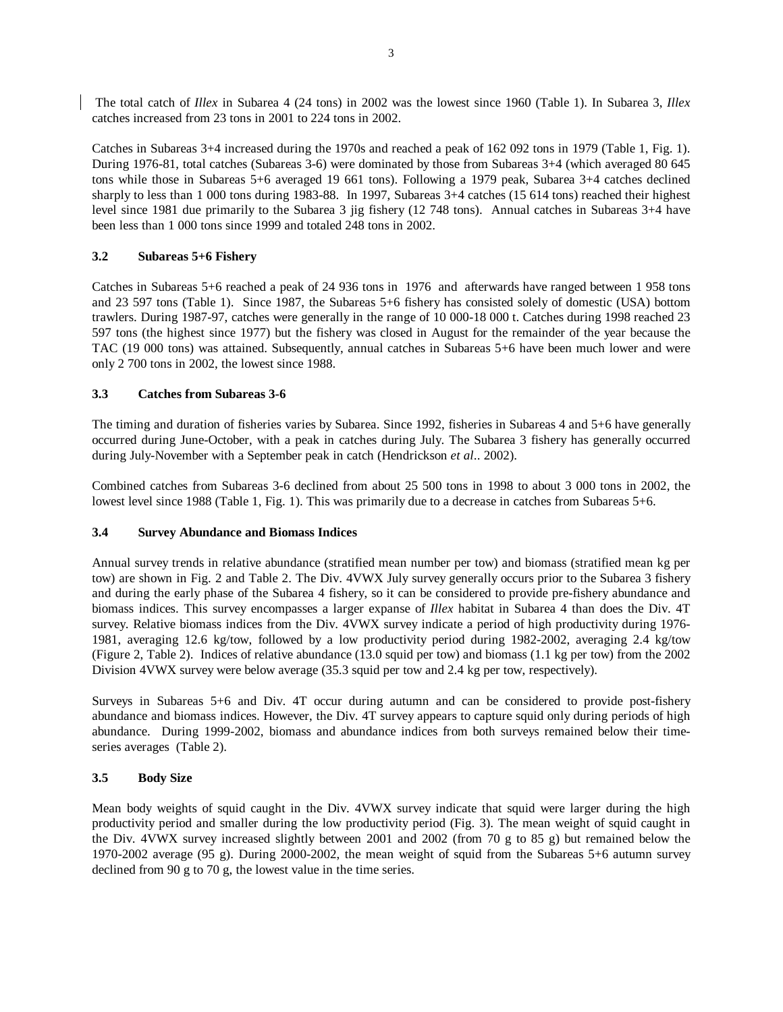The total catch of *Illex* in Subarea 4 (24 tons) in 2002 was the lowest since 1960 (Table 1). In Subarea 3, *Illex* catches increased from 23 tons in 2001 to 224 tons in 2002.

Catches in Subareas 3+4 increased during the 1970s and reached a peak of 162 092 tons in 1979 (Table 1, Fig. 1). During 1976-81, total catches (Subareas 3-6) were dominated by those from Subareas 3+4 (which averaged 80 645 tons while those in Subareas 5+6 averaged 19 661 tons). Following a 1979 peak, Subarea 3+4 catches declined sharply to less than 1 000 tons during 1983-88. In 1997, Subareas 3+4 catches (15 614 tons) reached their highest level since 1981 due primarily to the Subarea 3 jig fishery (12 748 tons). Annual catches in Subareas 3+4 have been less than 1 000 tons since 1999 and totaled 248 tons in 2002.

### **3.2 Subareas 5+6 Fishery**

Catches in Subareas 5+6 reached a peak of 24 936 tons in 1976 and afterwards have ranged between 1 958 tons and 23 597 tons (Table 1). Since 1987, the Subareas 5+6 fishery has consisted solely of domestic (USA) bottom trawlers. During 1987-97, catches were generally in the range of 10 000-18 000 t. Catches during 1998 reached 23 597 tons (the highest since 1977) but the fishery was closed in August for the remainder of the year because the TAC (19 000 tons) was attained. Subsequently, annual catches in Subareas 5+6 have been much lower and were only 2 700 tons in 2002, the lowest since 1988.

#### **3.3 Catches from Subareas 3-6**

The timing and duration of fisheries varies by Subarea. Since 1992, fisheries in Subareas 4 and 5+6 have generally occurred during June-October, with a peak in catches during July. The Subarea 3 fishery has generally occurred during July-November with a September peak in catch (Hendrickson *et al*.. 2002).

Combined catches from Subareas 3-6 declined from about 25 500 tons in 1998 to about 3 000 tons in 2002, the lowest level since 1988 (Table 1, Fig. 1). This was primarily due to a decrease in catches from Subareas 5+6.

#### **3.4 Survey Abundance and Biomass Indices**

Annual survey trends in relative abundance (stratified mean number per tow) and biomass (stratified mean kg per tow) are shown in Fig. 2 and Table 2. The Div. 4VWX July survey generally occurs prior to the Subarea 3 fishery and during the early phase of the Subarea 4 fishery, so it can be considered to provide pre-fishery abundance and biomass indices. This survey encompasses a larger expanse of *Illex* habitat in Subarea 4 than does the Div. 4T survey. Relative biomass indices from the Div. 4VWX survey indicate a period of high productivity during 1976- 1981, averaging 12.6 kg/tow, followed by a low productivity period during 1982-2002, averaging 2.4 kg/tow (Figure 2, Table 2). Indices of relative abundance (13.0 squid per tow) and biomass (1.1 kg per tow) from the 2002 Division 4VWX survey were below average (35.3 squid per tow and 2.4 kg per tow, respectively).

Surveys in Subareas 5+6 and Div. 4T occur during autumn and can be considered to provide post-fishery abundance and biomass indices. However, the Div. 4T survey appears to capture squid only during periods of high abundance. During 1999-2002, biomass and abundance indices from both surveys remained below their timeseries averages (Table 2).

### **3.5 Body Size**

Mean body weights of squid caught in the Div. 4VWX survey indicate that squid were larger during the high productivity period and smaller during the low productivity period (Fig. 3). The mean weight of squid caught in the Div. 4VWX survey increased slightly between 2001 and 2002 (from 70 g to 85 g) but remained below the 1970-2002 average (95 g). During 2000-2002, the mean weight of squid from the Subareas 5+6 autumn survey declined from 90 g to 70 g, the lowest value in the time series.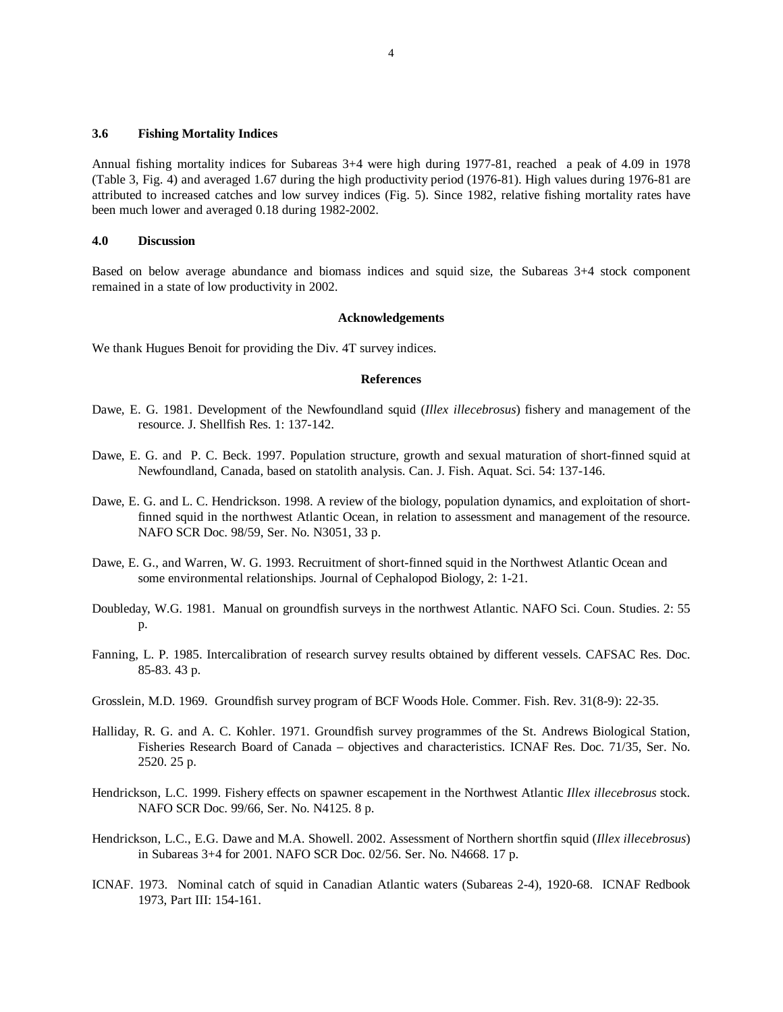### **3.6 Fishing Mortality Indices**

Annual fishing mortality indices for Subareas 3+4 were high during 1977-81, reached a peak of 4.09 in 1978 (Table 3, Fig. 4) and averaged 1.67 during the high productivity period (1976-81). High values during 1976-81 are attributed to increased catches and low survey indices (Fig. 5). Since 1982, relative fishing mortality rates have been much lower and averaged 0.18 during 1982-2002.

### **4.0 Discussion**

Based on below average abundance and biomass indices and squid size, the Subareas 3+4 stock component remained in a state of low productivity in 2002.

#### **Acknowledgements**

We thank Hugues Benoit for providing the Div. 4T survey indices.

### **References**

- Dawe, E. G. 1981. Development of the Newfoundland squid (*Illex illecebrosus*) fishery and management of the resource. J. Shellfish Res. 1: 137-142.
- Dawe, E. G. and P. C. Beck. 1997. Population structure, growth and sexual maturation of short-finned squid at Newfoundland, Canada, based on statolith analysis. Can. J. Fish. Aquat. Sci. 54: 137-146.
- Dawe, E. G. and L. C. Hendrickson. 1998. A review of the biology, population dynamics, and exploitation of shortfinned squid in the northwest Atlantic Ocean, in relation to assessment and management of the resource. NAFO SCR Doc. 98/59, Ser. No. N3051, 33 p.
- Dawe, E. G., and Warren, W. G. 1993. Recruitment of short-finned squid in the Northwest Atlantic Ocean and some environmental relationships. Journal of Cephalopod Biology, 2: 1-21.
- Doubleday, W.G. 1981. Manual on groundfish surveys in the northwest Atlantic. NAFO Sci. Coun. Studies. 2: 55 p.
- Fanning, L. P. 1985. Intercalibration of research survey results obtained by different vessels. CAFSAC Res. Doc. 85-83. 43 p.
- Grosslein, M.D. 1969. Groundfish survey program of BCF Woods Hole. Commer. Fish. Rev. 31(8-9): 22-35.
- Halliday, R. G. and A. C. Kohler. 1971. Groundfish survey programmes of the St. Andrews Biological Station, Fisheries Research Board of Canada – objectives and characteristics. ICNAF Res. Doc. 71/35, Ser. No. 2520. 25 p.
- Hendrickson, L.C. 1999. Fishery effects on spawner escapement in the Northwest Atlantic *Illex illecebrosus* stock. NAFO SCR Doc. 99/66, Ser. No. N4125. 8 p.
- Hendrickson, L.C., E.G. Dawe and M.A. Showell. 2002. Assessment of Northern shortfin squid (*Illex illecebrosus*) in Subareas 3+4 for 2001. NAFO SCR Doc. 02/56. Ser. No. N4668. 17 p.
- ICNAF. 1973. Nominal catch of squid in Canadian Atlantic waters (Subareas 2-4), 1920-68. ICNAF Redbook 1973, Part III: 154-161.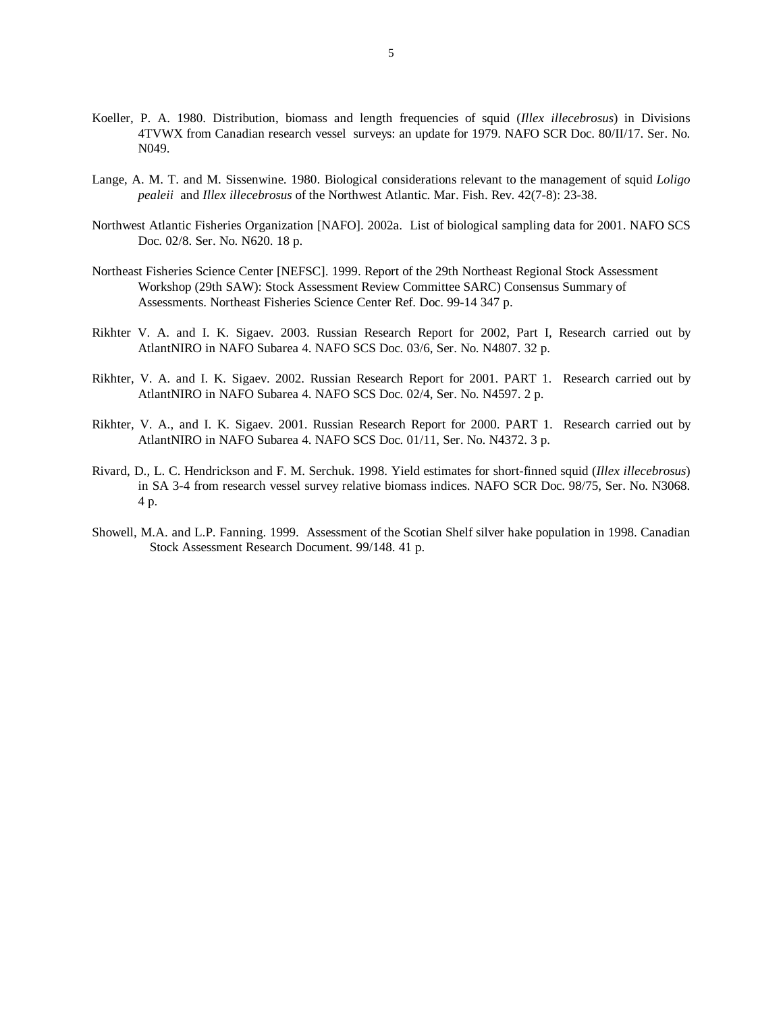- Koeller, P. A. 1980. Distribution, biomass and length frequencies of squid (*Illex illecebrosus*) in Divisions 4TVWX from Canadian research vessel surveys: an update for 1979. NAFO SCR Doc. 80/II/17. Ser. No. N049.
- Lange, A. M. T. and M. Sissenwine. 1980. Biological considerations relevant to the management of squid *Loligo pealeii* and *Illex illecebrosus* of the Northwest Atlantic. Mar. Fish. Rev. 42(7-8): 23-38.
- Northwest Atlantic Fisheries Organization [NAFO]. 2002a. List of biological sampling data for 2001. NAFO SCS Doc. 02/8. Ser. No. N620. 18 p.
- Northeast Fisheries Science Center [NEFSC]. 1999. Report of the 29th Northeast Regional Stock Assessment Workshop (29th SAW): Stock Assessment Review Committee SARC) Consensus Summary of Assessments. Northeast Fisheries Science Center Ref. Doc. 99-14 347 p.
- Rikhter V. A. and I. K. Sigaev. 2003. Russian Research Report for 2002, Part I, Research carried out by AtlantNIRO in NAFO Subarea 4. NAFO SCS Doc. 03/6, Ser. No. N4807. 32 p.
- Rikhter, V. A. and I. K. Sigaev. 2002. Russian Research Report for 2001. PART 1. Research carried out by AtlantNIRO in NAFO Subarea 4. NAFO SCS Doc. 02/4, Ser. No. N4597. 2 p.
- Rikhter, V. A., and I. K. Sigaev. 2001. Russian Research Report for 2000. PART 1. Research carried out by AtlantNIRO in NAFO Subarea 4. NAFO SCS Doc. 01/11, Ser. No. N4372. 3 p.
- Rivard, D., L. C. Hendrickson and F. M. Serchuk. 1998. Yield estimates for short-finned squid (*Illex illecebrosus*) in SA 3-4 from research vessel survey relative biomass indices. NAFO SCR Doc. 98/75, Ser. No. N3068. 4 p.
- Showell, M.A. and L.P. Fanning. 1999. Assessment of the Scotian Shelf silver hake population in 1998. Canadian Stock Assessment Research Document. 99/148. 41 p.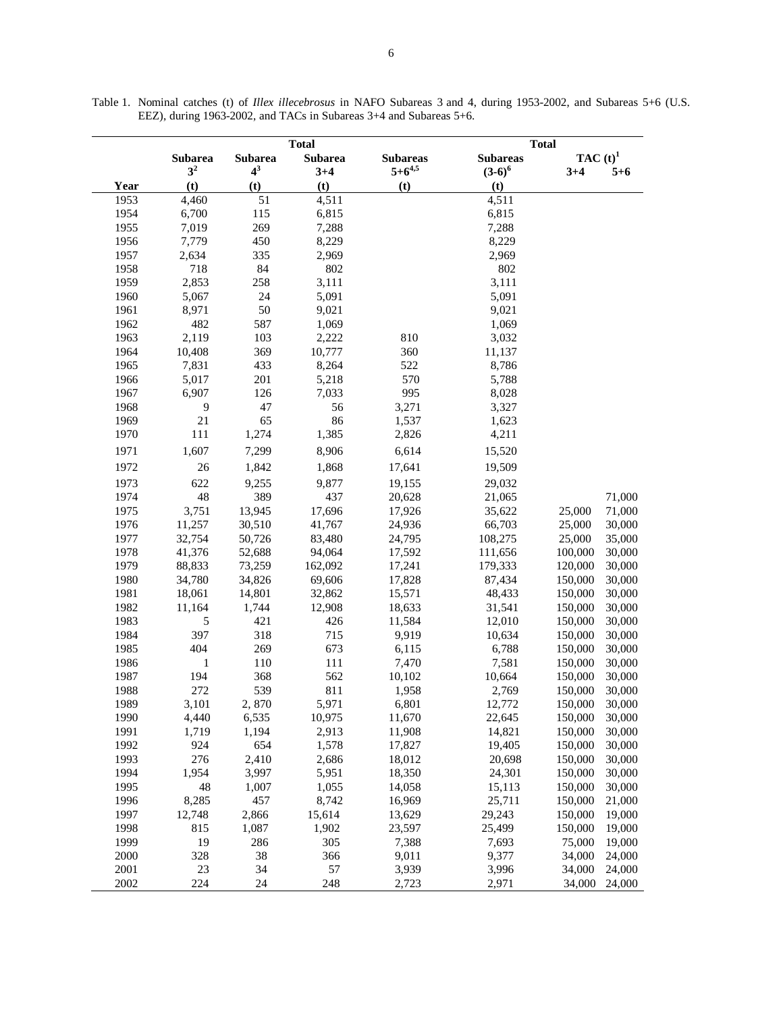|      |                |                |                                | <b>Total</b>    |                 |            |         |
|------|----------------|----------------|--------------------------------|-----------------|-----------------|------------|---------|
|      | <b>Subarea</b> | <b>Subarea</b> | <b>Total</b><br><b>Subarea</b> | <b>Subareas</b> | <b>Subareas</b> | $TAC(t)^1$ |         |
|      | 3 <sup>2</sup> | $4^3$          | $3+4$                          | $5 + 6^{4,5}$   | $(3-6)^6$       | $3+4$      | $5 + 6$ |
| Year | (t)            | (t)            | (t)                            | (t)             | (t)             |            |         |
| 1953 | 4,460          | 51             | 4,511                          |                 | 4,511           |            |         |
| 1954 | 6,700          | 115            | 6,815                          |                 | 6,815           |            |         |
| 1955 | 7,019          | 269            | 7,288                          |                 | 7,288           |            |         |
| 1956 | 7,779          | 450            | 8,229                          |                 | 8,229           |            |         |
| 1957 | 2,634          | 335            | 2,969                          |                 | 2,969           |            |         |
| 1958 | 718            | 84             | 802                            |                 | 802             |            |         |
| 1959 | 2,853          | 258            | 3,111                          |                 | 3,111           |            |         |
| 1960 | 5,067          | 24             | 5,091                          |                 | 5,091           |            |         |
| 1961 | 8,971          | 50             | 9,021                          |                 | 9,021           |            |         |
| 1962 | 482            | 587            | 1,069                          |                 | 1,069           |            |         |
| 1963 | 2,119          | 103            | 2,222                          | 810             | 3,032           |            |         |
| 1964 | 10,408         | 369            | 10,777                         | 360             | 11,137          |            |         |
| 1965 | 7,831          | 433            | 8,264                          | 522             | 8,786           |            |         |
| 1966 | 5,017          | 201            | 5,218                          | 570             | 5,788           |            |         |
| 1967 | 6,907          | 126            | 7,033                          | 995             | 8,028           |            |         |
| 1968 | 9              | 47             | 56                             | 3,271           | 3,327           |            |         |
| 1969 | 21             | 65             | 86                             | 1,537           | 1,623           |            |         |
| 1970 | 111            | 1,274          | 1,385                          | 2,826           | 4,211           |            |         |
| 1971 | 1,607          | 7,299          | 8,906                          | 6,614           | 15,520          |            |         |
| 1972 | 26             | 1,842          | 1,868                          | 17,641          | 19,509          |            |         |
| 1973 | 622            | 9,255          | 9,877                          | 19,155          | 29,032          |            |         |
| 1974 | 48             | 389            | 437                            | 20,628          | 21,065          |            | 71,000  |
| 1975 | 3,751          | 13,945         | 17,696                         | 17,926          | 35,622          | 25,000     | 71,000  |
| 1976 | 11,257         | 30,510         | 41,767                         | 24,936          | 66,703          | 25,000     | 30,000  |
| 1977 | 32,754         | 50,726         | 83,480                         | 24,795          | 108,275         | 25,000     | 35,000  |
| 1978 | 41,376         | 52,688         | 94,064                         | 17,592          | 111,656         | 100,000    | 30,000  |
| 1979 | 88,833         | 73,259         | 162,092                        | 17,241          | 179,333         | 120,000    | 30,000  |
| 1980 | 34,780         | 34,826         | 69,606                         | 17,828          | 87,434          | 150,000    | 30,000  |
| 1981 | 18,061         | 14,801         | 32,862                         | 15,571          | 48,433          | 150,000    | 30,000  |
| 1982 | 11,164         | 1,744          | 12,908                         | 18,633          | 31,541          | 150,000    | 30,000  |
| 1983 | 5              | 421            | 426                            | 11,584          | 12,010          | 150,000    | 30,000  |
| 1984 | 397            | 318            | 715                            | 9,919           | 10,634          | 150,000    | 30,000  |
| 1985 | 404            | 269            | 673                            | 6,115           | 6,788           | 150,000    | 30,000  |
| 1986 | 1              | 110            | 111                            | 7,470           | 7,581           | 150,000    | 30,000  |
| 1987 | 194            | 368            | 562                            | 10,102          | 10,664          | 150,000    | 30,000  |
| 1988 | 272            | 539            | 811                            | 1,958           | 2,769           | 150,000    | 30,000  |
| 1989 | 3,101          | 2,870          | 5,971                          | 6,801           | 12,772          | 150,000    | 30,000  |
| 1990 | 4,440          | 6,535          | 10,975                         | 11,670          | 22,645          | 150,000    | 30,000  |
| 1991 | 1,719          | 1,194          | 2,913                          | 11,908          | 14,821          | 150,000    | 30,000  |
| 1992 | 924            | 654            | 1,578                          | 17,827          | 19,405          | 150,000    | 30,000  |
| 1993 | 276            | 2,410          | 2,686                          | 18,012          | 20,698          | 150,000    | 30,000  |
| 1994 | 1,954          | 3,997          | 5,951                          | 18,350          | 24,301          | 150,000    | 30,000  |
| 1995 | 48             | 1,007          | 1,055                          | 14,058          | 15,113          | 150,000    | 30,000  |
| 1996 | 8,285          | 457            | 8,742                          | 16,969          | 25,711          | 150,000    | 21,000  |
| 1997 | 12,748         | 2,866          | 15,614                         | 13,629          | 29,243          | 150,000    | 19,000  |
| 1998 | 815            | 1,087          | 1,902                          | 23,597          | 25,499          | 150,000    | 19,000  |
| 1999 | 19             | 286            | 305                            | 7,388           | 7,693           | 75,000     | 19,000  |
| 2000 | 328            | 38             | 366                            | 9,011           | 9,377           | 34,000     | 24,000  |
| 2001 | 23             | 34             | 57                             | 3,939           | 3,996           | 34,000     | 24,000  |
| 2002 | 224            | 24             | 248                            | 2,723           | 2,971           | 34,000     | 24,000  |

Table 1. Nominal catches (t) of *Illex illecebrosus* in NAFO Subareas 3 and 4, during 1953-2002, and Subareas 5+6 (U.S. EEZ), during 1963-2002, and TACs in Subareas 3+4 and Subareas 5+6.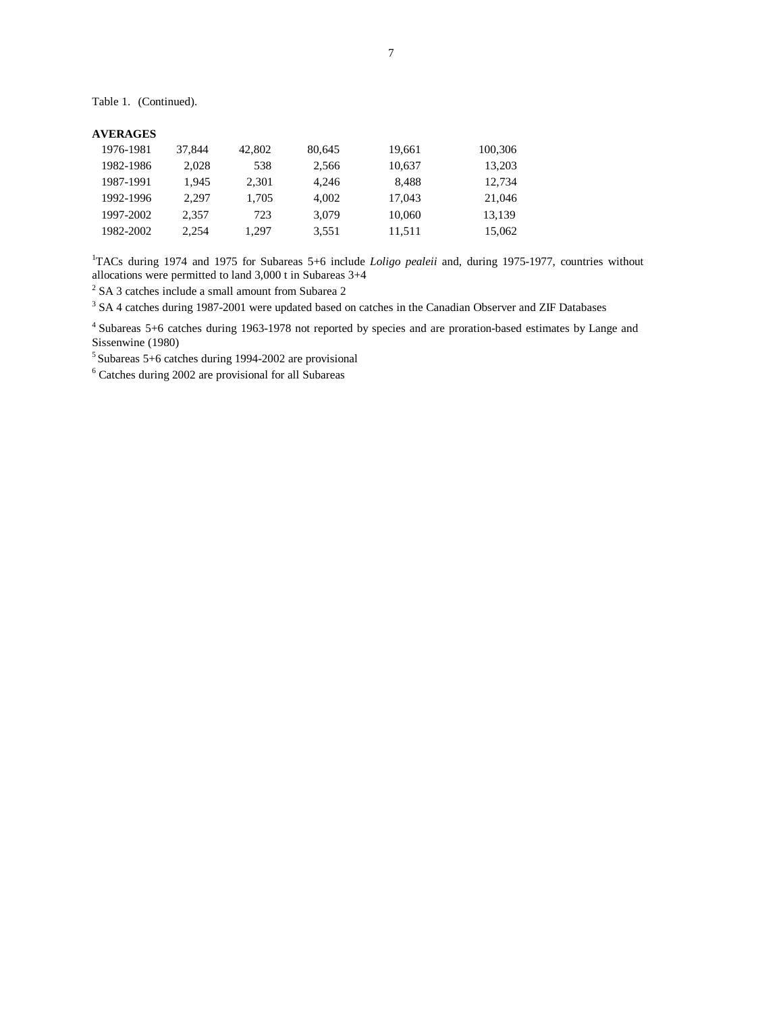Table 1. (Continued).

## **AVERAGES**

| 1976-1981 | 37.844 | 42,802 | 80,645 | 19,661 | 100,306 |
|-----------|--------|--------|--------|--------|---------|
| 1982-1986 | 2.028  | 538    | 2,566  | 10,637 | 13,203  |
| 1987-1991 | 1.945  | 2,301  | 4.246  | 8.488  | 12,734  |
| 1992-1996 | 2.297  | 1,705  | 4.002  | 17.043 | 21,046  |
| 1997-2002 | 2.357  | 723    | 3,079  | 10,060 | 13,139  |
| 1982-2002 | 2.254  | 1,297  | 3,551  | 11,511 | 15,062  |

<sup>1</sup>TACs during 1974 and 1975 for Subareas 5+6 include *Loligo pealeii* and, during 1975-1977, countries without allocations were permitted to land  $3,000$  t in Subareas  $3+4$ <br> $\frac{2}{5}$  SA 3 attabas include a small amount from Subarea 2

 $2$  SA 3 catches include a small amount from Subarea 2

<sup>3</sup> SA 4 catches during 1987-2001 were updated based on catches in the Canadian Observer and ZIF Databases

4 Subareas 5+6 catches during 1963-1978 not reported by species and are proration-based estimates by Lange and Sissenwine (1980)

5 Subareas 5+6 catches during 1994-2002 are provisional 6

Catches during 2002 are provisional for all Subareas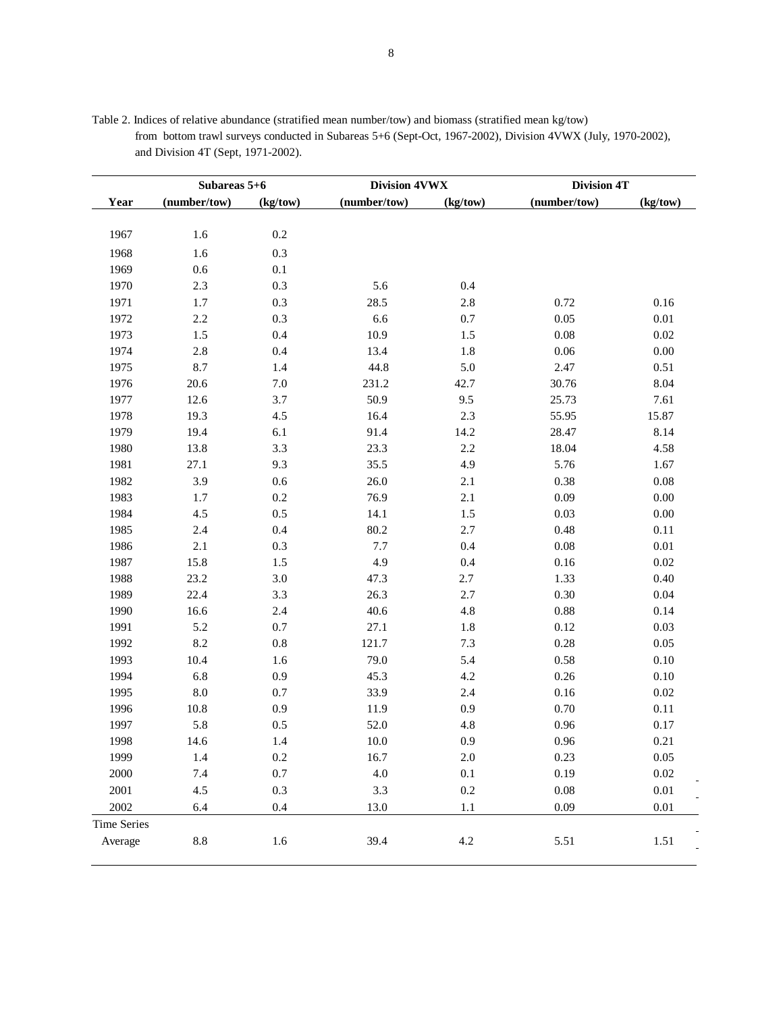|                    | Subareas 5+6    |          | <b>Division 4VWX</b> |          | <b>Division 4T</b> |          |
|--------------------|-----------------|----------|----------------------|----------|--------------------|----------|
| Year               | (number/tow)    | (kg/tow) | (number/tow)         | (kg/tow) | (number/tow)       | (kg/tow) |
|                    |                 |          |                      |          |                    |          |
| 1967               | 1.6             | $0.2\,$  |                      |          |                    |          |
| 1968               | 1.6             | 0.3      |                      |          |                    |          |
| 1969               | 0.6             | $0.1\,$  |                      |          |                    |          |
| 1970               | 2.3             | $0.3\,$  | 5.6                  | $0.4\,$  |                    |          |
| 1971               | 1.7             | $0.3\,$  | 28.5                 | $2.8\,$  | 0.72               | 0.16     |
| 1972               | 2.2             | $0.3\,$  | 6.6                  | 0.7      | 0.05               | $0.01\,$ |
| 1973               | 1.5             | $0.4\,$  | 10.9                 | 1.5      | 0.08               | 0.02     |
| 1974               | $2.8\,$         | $0.4\,$  | 13.4                 | 1.8      | 0.06               | 0.00     |
| 1975               | 8.7             | 1.4      | 44.8                 | $5.0\,$  | 2.47               | 0.51     |
| 1976               | 20.6            | $7.0\,$  | 231.2                | 42.7     | 30.76              | 8.04     |
| 1977               | 12.6            | 3.7      | 50.9                 | 9.5      | 25.73              | 7.61     |
| 1978               | 19.3            | 4.5      | 16.4                 | $2.3\,$  | 55.95              | 15.87    |
| 1979               | 19.4            | 6.1      | 91.4                 | 14.2     | 28.47              | 8.14     |
| 1980               | 13.8            | 3.3      | 23.3                 | $2.2\,$  | 18.04              | 4.58     |
| 1981               | 27.1            | 9.3      | 35.5                 | 4.9      | 5.76               | 1.67     |
| 1982               | 3.9             | $0.6\,$  | 26.0                 | 2.1      | 0.38               | 0.08     |
| 1983               | 1.7             | $0.2\,$  | 76.9                 | 2.1      | 0.09               | $0.00\,$ |
| 1984               | 4.5             | $0.5\,$  | 14.1                 | 1.5      | 0.03               | $0.00\,$ |
| 1985               | 2.4             | 0.4      | 80.2                 | 2.7      | 0.48               | $0.11\,$ |
| 1986               | 2.1             | $0.3\,$  | 7.7                  | $0.4\,$  | $0.08\,$           | $0.01\,$ |
| 1987               | 15.8            | 1.5      | 4.9                  | $0.4\,$  | 0.16               | 0.02     |
| 1988               | 23.2            | $3.0\,$  | 47.3                 | 2.7      | 1.33               | 0.40     |
| 1989               | 22.4            | 3.3      | 26.3                 | $2.7\,$  | 0.30               | 0.04     |
| 1990               | 16.6            | 2.4      | 40.6                 | 4.8      | $0.88\,$           | 0.14     |
| 1991               | 5.2             | $0.7\,$  | 27.1                 | 1.8      | 0.12               | 0.03     |
| 1992               | 8.2             | $0.8\,$  | 121.7                | $7.3$    | 0.28               | 0.05     |
| 1993               | 10.4            | 1.6      | 79.0                 | 5.4      | 0.58               | $0.10\,$ |
| 1994               | 6.8             | $0.9\,$  | 45.3                 | 4.2      | 0.26               | $0.10\,$ |
| 1995               | $8.0\,$         | $0.7\,$  | 33.9                 | $2.4\,$  | $0.16\,$           | 0.02     |
| 1996               | 10.8            | 0.9      | 11.9                 | 0.9      | 0.70               | 0.11     |
| 1997               | 5.8             | 0.5      | 52.0                 | 4.8      | 0.96               | 0.17     |
| 1998               | 14.6            | 1.4      | 10.0                 | 0.9      | $0.96\,$           | 0.21     |
| 1999               | 1.4             | $0.2\,$  | 16.7                 | $2.0\,$  | 0.23               | 0.05     |
| 2000               | 7.4             | $0.7\,$  | $4.0\,$              | $0.1\,$  | 0.19               | 0.02     |
| 2001               | 4.5             | $0.3\,$  | 3.3                  | $0.2\,$  | $0.08\,$           | $0.01\,$ |
| 2002               |                 |          |                      |          | 0.09               | $0.01\,$ |
|                    | 6.4             | $0.4\,$  | 13.0                 | 1.1      |                    |          |
| <b>Time Series</b> |                 |          |                      |          |                    |          |
| Average            | $\!\!\!\!\!8.8$ | 1.6      | 39.4                 | $4.2\,$  | 5.51               | 1.51     |

Table 2. Indices of relative abundance (stratified mean number/tow) and biomass (stratified mean kg/tow) from bottom trawl surveys conducted in Subareas 5+6 (Sept-Oct, 1967-2002), Division 4VWX (July, 1970-2002), and Division 4T (Sept, 1971-2002).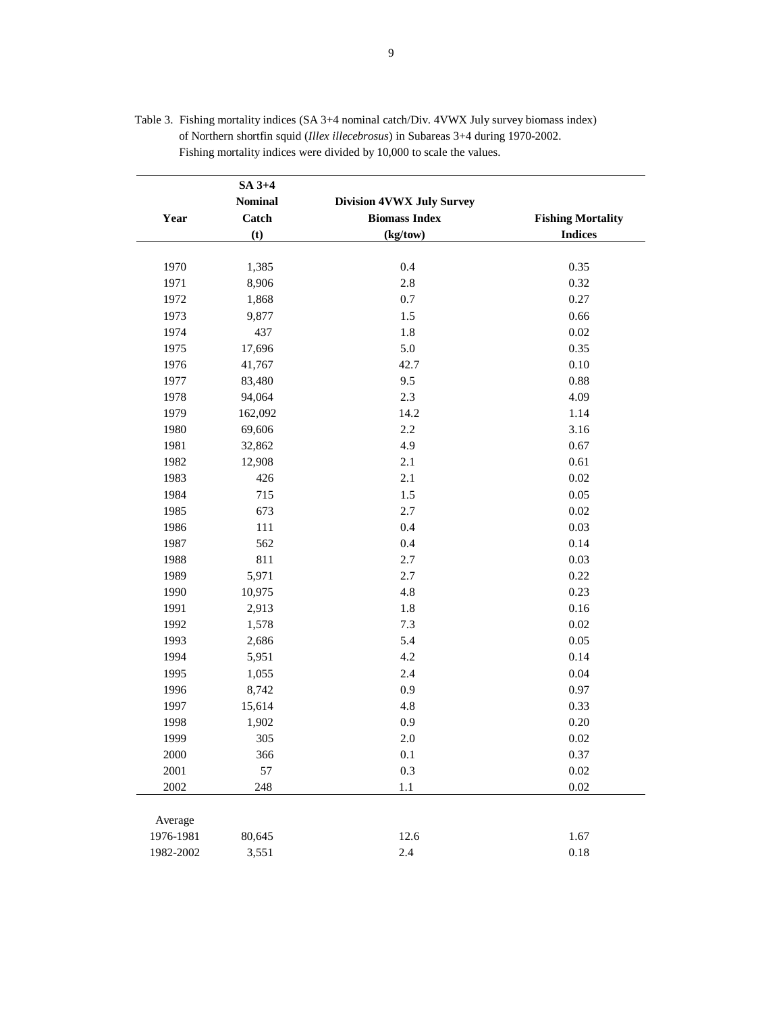|           | SA 3+4         |                                  |                          |
|-----------|----------------|----------------------------------|--------------------------|
|           | <b>Nominal</b> | <b>Division 4VWX July Survey</b> |                          |
| Year      | Catch          | <b>Biomass Index</b>             | <b>Fishing Mortality</b> |
|           | (t)            | (kg/tow)                         | <b>Indices</b>           |
| 1970      | 1,385          | 0.4                              | 0.35                     |
|           |                | 2.8                              |                          |
| 1971      | 8,906          |                                  | 0.32                     |
| 1972      | 1,868          | 0.7                              | 0.27                     |
| 1973      | 9,877          | 1.5                              | 0.66                     |
| 1974      | 437            | 1.8                              | $0.02\,$                 |
| 1975      | 17,696         | 5.0                              | 0.35                     |
| 1976      | 41,767         | 42.7                             | 0.10                     |
| 1977      | 83,480         | 9.5                              | 0.88                     |
| 1978      | 94,064         | 2.3                              | 4.09                     |
| 1979      | 162,092        | 14.2                             | 1.14                     |
| 1980      | 69,606         | 2.2                              | 3.16                     |
| 1981      | 32,862         | 4.9                              | 0.67                     |
| 1982      | 12,908         | $2.1\,$                          | 0.61                     |
| 1983      | 426            | 2.1                              | 0.02                     |
| 1984      | 715            | 1.5                              | 0.05                     |
| 1985      | 673            | 2.7                              | 0.02                     |
| 1986      | 111            | 0.4                              | 0.03                     |
| 1987      | 562            | 0.4                              | 0.14                     |
| 1988      | 811            | 2.7                              | 0.03                     |
| 1989      | 5,971          | 2.7                              | 0.22                     |
| 1990      | 10,975         | 4.8                              | 0.23                     |
| 1991      | 2,913          | 1.8                              | 0.16                     |
| 1992      | 1,578          | 7.3                              | $0.02\,$                 |
| 1993      | 2,686          | 5.4                              | 0.05                     |
| 1994      | 5,951          | 4.2                              | 0.14                     |
| 1995      | 1,055          | 2.4                              | 0.04                     |
| 1996      | 8,742          | 0.9                              | 0.97                     |
| 1997      | 15,614         | 4.8                              | 0.33                     |
| 1998      | 1,902          | $0.9\,$                          | 0.20                     |
| 1999      | 305            | $2.0\,$                          | $0.02\,$                 |
| 2000      | 366            | 0.1                              | 0.37                     |
| 2001      | 57             | 0.3                              | $0.02\,$                 |
| 2002      | 248            | $1.1\,$                          | $0.02\,$                 |
|           |                |                                  |                          |
| Average   |                |                                  |                          |
| 1976-1981 | 80,645         | 12.6                             | 1.67                     |
| 1982-2002 | 3,551          | $2.4\,$                          | $0.18\,$                 |

| Table 3. Fishing mortality indices (SA 3+4 nominal catch/Div. 4VWX July survey biomass index) |
|-----------------------------------------------------------------------------------------------|
| of Northern shortfin squid <i>(Illex illecebrosus)</i> in Subareas 3+4 during 1970-2002.      |
| Fishing mortality indices were divided by 10,000 to scale the values.                         |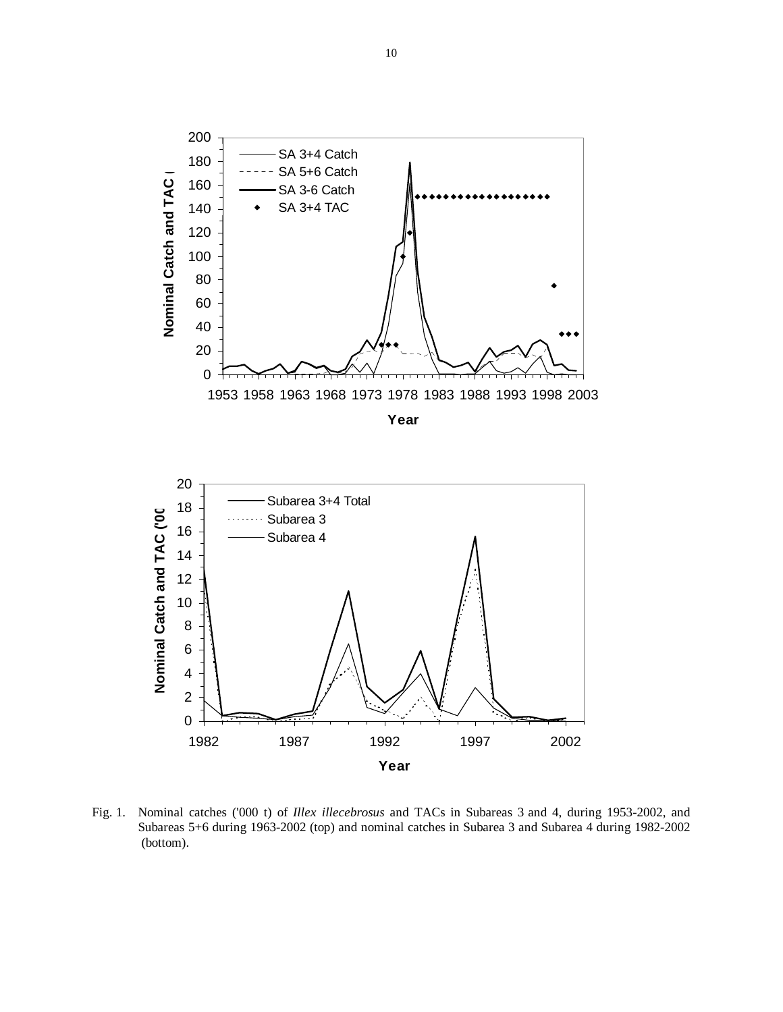



Fig. 1.Nominal catches ('000 t) of *Illex illecebrosus* and TACs in Subareas 3 and 4, during 1953-2002, and Subareas 5+6 during 1963-2002 (top) and nominal catches in Subarea 3 and Subarea 4 during 1982-2002 (bottom).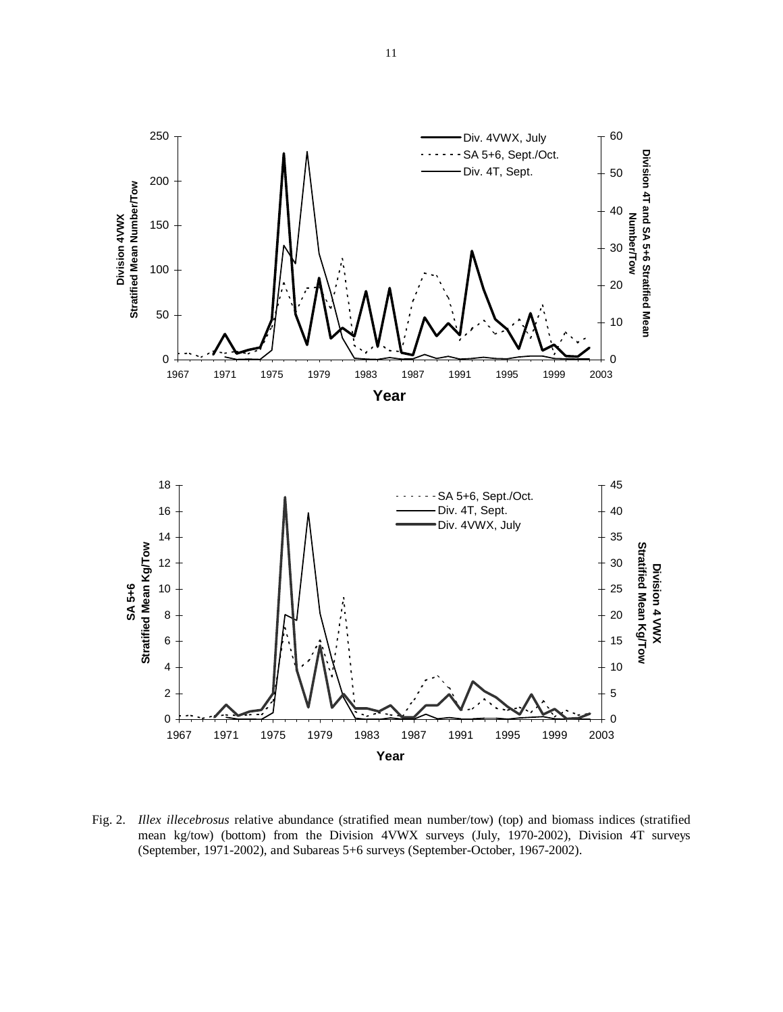

Fig. 2. *Illex illecebrosus* relative abundance (stratified mean number/tow) (top) and biomass indices (stratified mean kg/tow) (bottom) from the Division 4VWX surveys (July, 1970-2002), Division 4T surveys (September, 1971-2002), and Subareas 5+6 surveys (September-October, 1967-2002).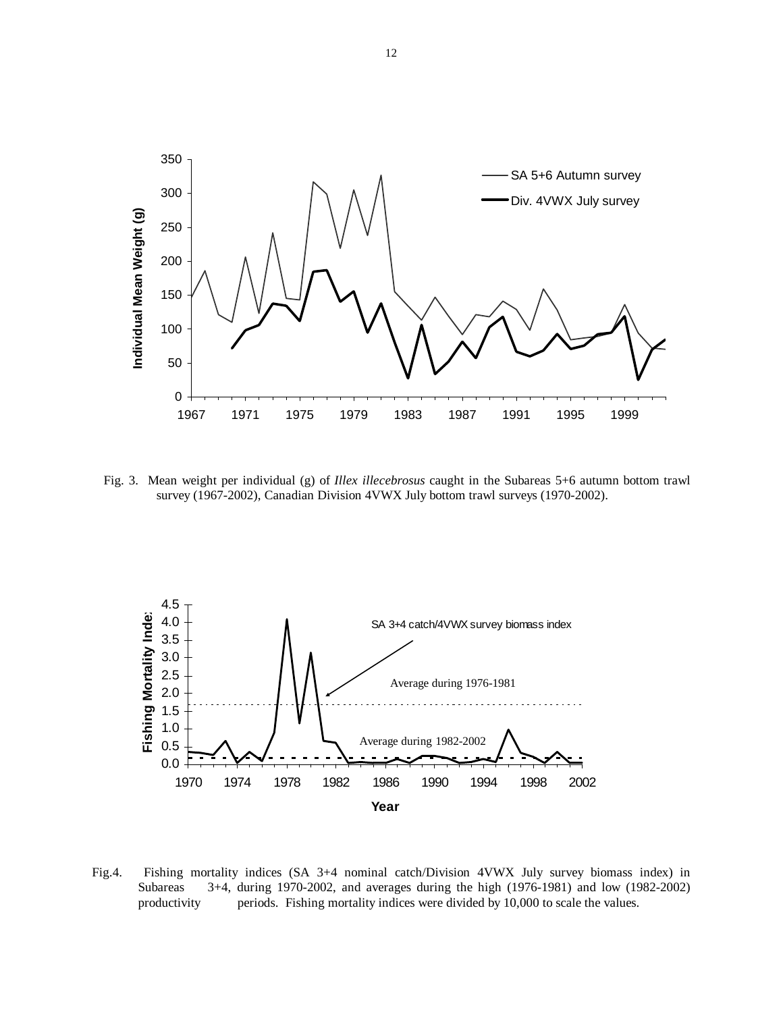

Fig. 3. Mean weight per individual (g) of *Illex illecebrosus* caught in the Subareas 5+6 autumn bottom trawl survey (1967-2002), Canadian Division 4VWX July bottom trawl surveys (1970-2002).



Fig.4. Fishing mortality indices (SA 3+4 nominal catch/Division 4VWX July survey biomass index) in Subareas 3+4, during 1970-2002, and averages during the high (1976-1981) and low (1982-2002) productivity periods. Fishing mortality indices were divided by 10,000 to scale the values.